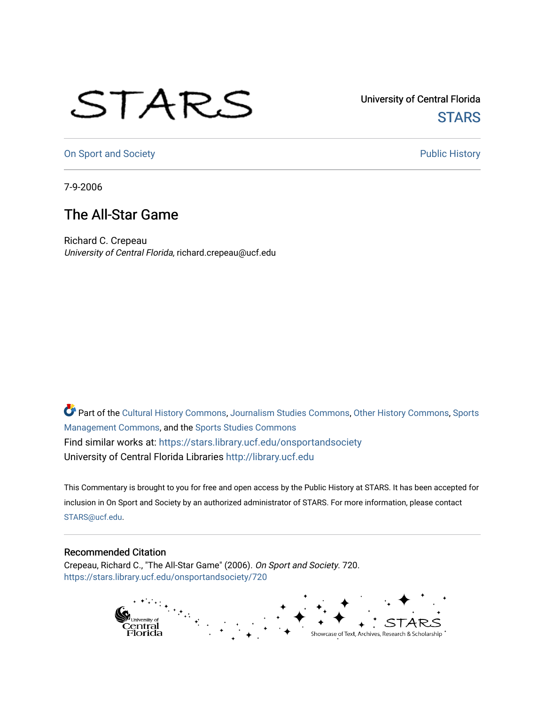## STARS

University of Central Florida **STARS** 

[On Sport and Society](https://stars.library.ucf.edu/onsportandsociety) **Public History** Public History

7-9-2006

## The All-Star Game

Richard C. Crepeau University of Central Florida, richard.crepeau@ucf.edu

Part of the [Cultural History Commons](http://network.bepress.com/hgg/discipline/496?utm_source=stars.library.ucf.edu%2Fonsportandsociety%2F720&utm_medium=PDF&utm_campaign=PDFCoverPages), [Journalism Studies Commons,](http://network.bepress.com/hgg/discipline/333?utm_source=stars.library.ucf.edu%2Fonsportandsociety%2F720&utm_medium=PDF&utm_campaign=PDFCoverPages) [Other History Commons,](http://network.bepress.com/hgg/discipline/508?utm_source=stars.library.ucf.edu%2Fonsportandsociety%2F720&utm_medium=PDF&utm_campaign=PDFCoverPages) [Sports](http://network.bepress.com/hgg/discipline/1193?utm_source=stars.library.ucf.edu%2Fonsportandsociety%2F720&utm_medium=PDF&utm_campaign=PDFCoverPages) [Management Commons](http://network.bepress.com/hgg/discipline/1193?utm_source=stars.library.ucf.edu%2Fonsportandsociety%2F720&utm_medium=PDF&utm_campaign=PDFCoverPages), and the [Sports Studies Commons](http://network.bepress.com/hgg/discipline/1198?utm_source=stars.library.ucf.edu%2Fonsportandsociety%2F720&utm_medium=PDF&utm_campaign=PDFCoverPages) Find similar works at: <https://stars.library.ucf.edu/onsportandsociety> University of Central Florida Libraries [http://library.ucf.edu](http://library.ucf.edu/) 

This Commentary is brought to you for free and open access by the Public History at STARS. It has been accepted for inclusion in On Sport and Society by an authorized administrator of STARS. For more information, please contact [STARS@ucf.edu](mailto:STARS@ucf.edu).

## Recommended Citation

Crepeau, Richard C., "The All-Star Game" (2006). On Sport and Society. 720. [https://stars.library.ucf.edu/onsportandsociety/720](https://stars.library.ucf.edu/onsportandsociety/720?utm_source=stars.library.ucf.edu%2Fonsportandsociety%2F720&utm_medium=PDF&utm_campaign=PDFCoverPages)

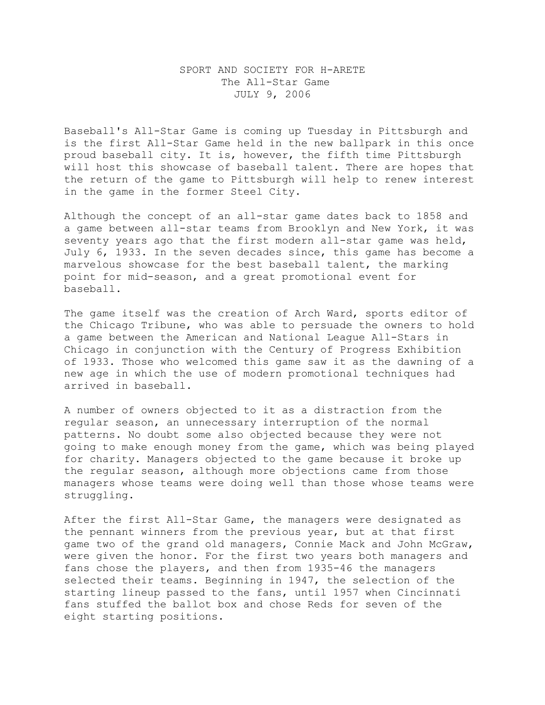## SPORT AND SOCIETY FOR H-ARETE The All-Star Game JULY 9, 2006

Baseball's All-Star Game is coming up Tuesday in Pittsburgh and is the first All-Star Game held in the new ballpark in this once proud baseball city. It is, however, the fifth time Pittsburgh will host this showcase of baseball talent. There are hopes that the return of the game to Pittsburgh will help to renew interest in the game in the former Steel City.

Although the concept of an all-star game dates back to 1858 and a game between all-star teams from Brooklyn and New York, it was seventy years ago that the first modern all-star game was held, July 6, 1933. In the seven decades since, this game has become a marvelous showcase for the best baseball talent, the marking point for mid-season, and a great promotional event for baseball.

The game itself was the creation of Arch Ward, sports editor of the Chicago Tribune, who was able to persuade the owners to hold a game between the American and National League All-Stars in Chicago in conjunction with the Century of Progress Exhibition of 1933. Those who welcomed this game saw it as the dawning of a new age in which the use of modern promotional techniques had arrived in baseball.

A number of owners objected to it as a distraction from the regular season, an unnecessary interruption of the normal patterns. No doubt some also objected because they were not going to make enough money from the game, which was being played for charity. Managers objected to the game because it broke up the regular season, although more objections came from those managers whose teams were doing well than those whose teams were struggling.

After the first All-Star Game, the managers were designated as the pennant winners from the previous year, but at that first game two of the grand old managers, Connie Mack and John McGraw, were given the honor. For the first two years both managers and fans chose the players, and then from 1935-46 the managers selected their teams. Beginning in 1947, the selection of the starting lineup passed to the fans, until 1957 when Cincinnati fans stuffed the ballot box and chose Reds for seven of the eight starting positions.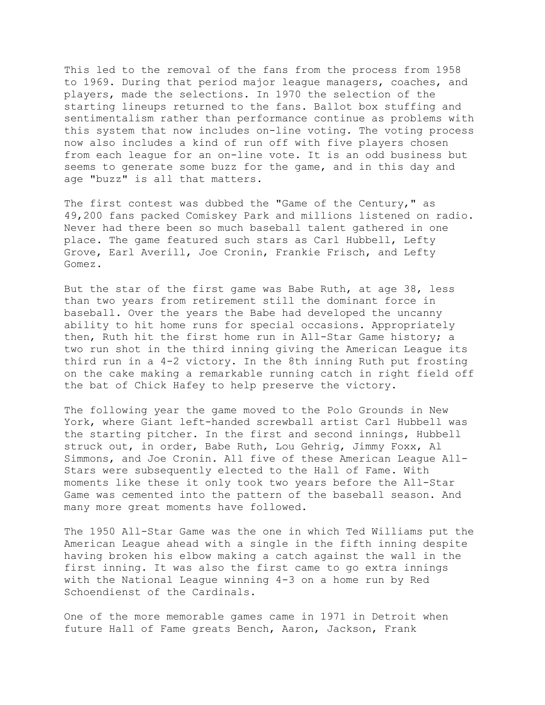This led to the removal of the fans from the process from 1958 to 1969. During that period major league managers, coaches, and players, made the selections. In 1970 the selection of the starting lineups returned to the fans. Ballot box stuffing and sentimentalism rather than performance continue as problems with this system that now includes on-line voting. The voting process now also includes a kind of run off with five players chosen from each league for an on-line vote. It is an odd business but seems to generate some buzz for the game, and in this day and age "buzz" is all that matters.

The first contest was dubbed the "Game of the Century," as 49,200 fans packed Comiskey Park and millions listened on radio. Never had there been so much baseball talent gathered in one place. The game featured such stars as Carl Hubbell, Lefty Grove, Earl Averill, Joe Cronin, Frankie Frisch, and Lefty Gomez.

But the star of the first game was Babe Ruth, at age 38, less than two years from retirement still the dominant force in baseball. Over the years the Babe had developed the uncanny ability to hit home runs for special occasions. Appropriately then, Ruth hit the first home run in All-Star Game history; a two run shot in the third inning giving the American League its third run in a 4-2 victory. In the 8th inning Ruth put frosting on the cake making a remarkable running catch in right field off the bat of Chick Hafey to help preserve the victory.

The following year the game moved to the Polo Grounds in New York, where Giant left-handed screwball artist Carl Hubbell was the starting pitcher. In the first and second innings, Hubbell struck out, in order, Babe Ruth, Lou Gehrig, Jimmy Foxx, Al Simmons, and Joe Cronin. All five of these American League All-Stars were subsequently elected to the Hall of Fame. With moments like these it only took two years before the All-Star Game was cemented into the pattern of the baseball season. And many more great moments have followed.

The 1950 All-Star Game was the one in which Ted Williams put the American League ahead with a single in the fifth inning despite having broken his elbow making a catch against the wall in the first inning. It was also the first came to go extra innings with the National League winning 4-3 on a home run by Red Schoendienst of the Cardinals.

One of the more memorable games came in 1971 in Detroit when future Hall of Fame greats Bench, Aaron, Jackson, Frank